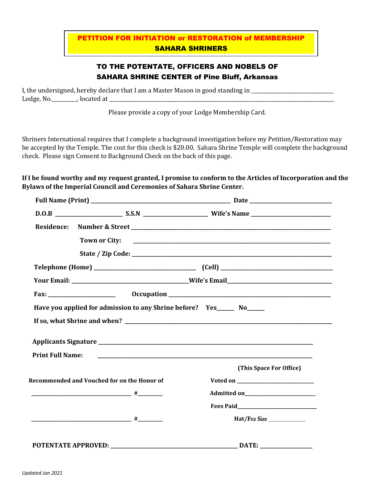# PETITION FOR INITIATION or RESTORATION of MEMBERSHIP SAHARA SHRINERS

## TO THE POTENTATE, OFFICERS AND NOBELS OF SAHARA SHRINE CENTER of Pine Bluff, Arkansas

I, the undersigned, hereby declare that I am a Master Mason in good standing in \_\_\_\_\_\_\_\_\_\_\_\_\_\_\_\_\_\_\_\_\_\_\_\_\_\_\_\_\_\_ Lodge, No.\_\_\_\_\_\_\_\_\_\_, located at \_\_\_\_\_\_\_\_\_\_\_\_\_\_\_\_\_\_\_\_\_\_\_\_\_\_\_\_\_\_\_\_\_\_\_\_\_\_\_\_\_\_\_\_\_\_\_\_\_\_\_\_\_\_\_\_\_\_\_\_\_\_\_\_\_\_\_\_\_\_\_\_\_\_\_\_\_\_\_\_\_\_\_\_\_\_\_\_\_\_

Please provide a copy of your Lodge Membership Card.

Shriners International requires that I complete a background investigation before my Petition/Restoration may be accepted by the Temple. The cost for this check is \$20.00. Sahara Shrine Temple will complete the background check. Please sign Consent to Background Check on the back of this page.

### **If I be found worthy and my request granted, I promise to conform to the Articles of Incorporation and the Bylaws of the Imperial Council and Ceremonies of Sahara Shrine Center.**

| <b>Residence:</b>       |                                                                        |                            |
|-------------------------|------------------------------------------------------------------------|----------------------------|
|                         | <b>Town or City:</b>                                                   |                            |
|                         |                                                                        |                            |
|                         |                                                                        |                            |
|                         |                                                                        |                            |
|                         |                                                                        |                            |
|                         | Have you applied for admission to any Shrine before? Yes______ No_____ |                            |
| <b>Print Full Name:</b> |                                                                        |                            |
|                         |                                                                        | (This Space For Office)    |
|                         | Recommended and Vouched for on the Honor of                            |                            |
|                         |                                                                        |                            |
|                         |                                                                        |                            |
|                         |                                                                        | Hat/Fez Size _____________ |